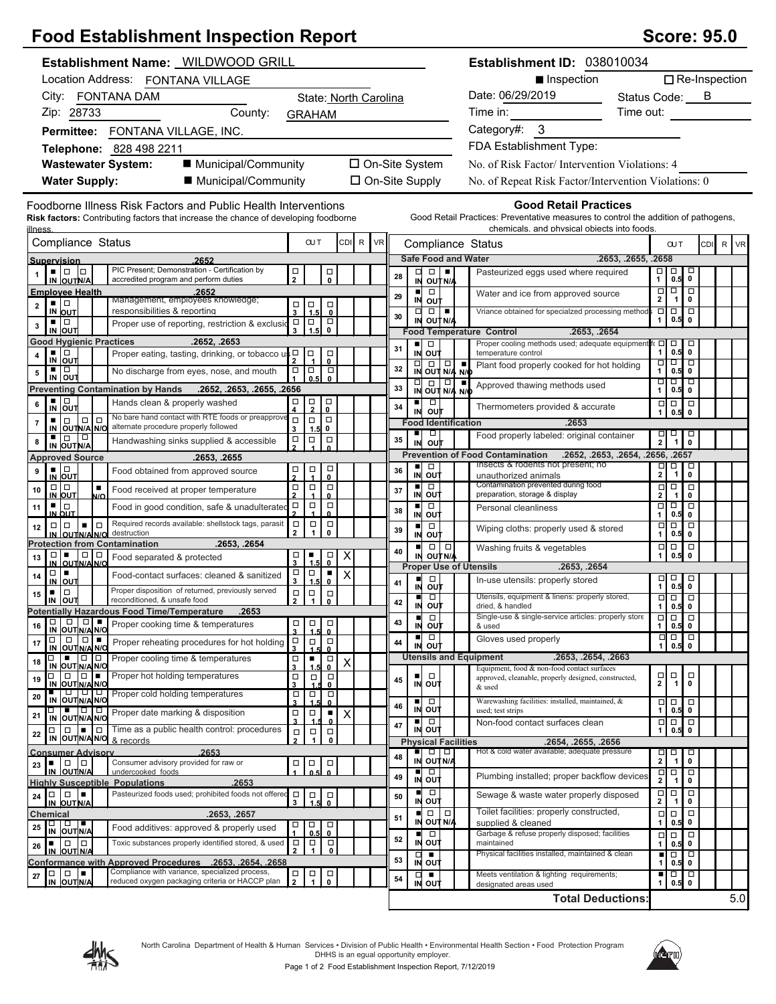## **Food Establishment Inspection Report**

| Score: 95.0 |  |  |
|-------------|--|--|
|-------------|--|--|

| Establishment Name: WILDWOOD GRILL                                                                                                                           |                                                                                                                      |                                                                                                     | Establishment ID: 038010034                                                                                                                                       |                                                                                             |
|--------------------------------------------------------------------------------------------------------------------------------------------------------------|----------------------------------------------------------------------------------------------------------------------|-----------------------------------------------------------------------------------------------------|-------------------------------------------------------------------------------------------------------------------------------------------------------------------|---------------------------------------------------------------------------------------------|
| Location Address: FONTANA VILLAGE                                                                                                                            |                                                                                                                      |                                                                                                     | ■ Inspection                                                                                                                                                      | $\Box$ Re-Inspection                                                                        |
| City: FONTANA DAM                                                                                                                                            | State: North Carolina                                                                                                |                                                                                                     | Date: 06/29/2019                                                                                                                                                  | Status Code: ___ B                                                                          |
| Zip: 28733<br>County:                                                                                                                                        | <b>GRAHAM</b>                                                                                                        |                                                                                                     | Time in:                                                                                                                                                          | Time out:                                                                                   |
| Permittee: FONTANA VILLAGE, INC.                                                                                                                             |                                                                                                                      |                                                                                                     | Category#: 3                                                                                                                                                      |                                                                                             |
| Telephone: 828 498 2211                                                                                                                                      |                                                                                                                      |                                                                                                     | FDA Establishment Type:                                                                                                                                           |                                                                                             |
| <b>Wastewater System:</b><br>■ Municipal/Community                                                                                                           |                                                                                                                      | □ On-Site System                                                                                    | No. of Risk Factor/Intervention Violations: 4                                                                                                                     |                                                                                             |
| <b>Water Supply:</b><br>■ Municipal/Community                                                                                                                |                                                                                                                      | $\Box$ On-Site Supply                                                                               | No. of Repeat Risk Factor/Intervention Violations: 0                                                                                                              |                                                                                             |
| Foodborne Illness Risk Factors and Public Health Interventions<br><b>Risk factors:</b> Contributing factors that increase the chance of developing foodborne |                                                                                                                      |                                                                                                     | <b>Good Retail Practices</b><br>Good Retail Practices: Preventative measures to control the addition of pathogens,<br>chemicals, and physical objects into foods. |                                                                                             |
| <u>illness</u><br>Compliance Status                                                                                                                          | CDI R<br><b>OUT</b>                                                                                                  | <b>VR</b><br>Compliance Status                                                                      |                                                                                                                                                                   | CDI R VR<br><b>OUT</b>                                                                      |
| 2652<br>Supervision<br>PIC Present; Demonstration - Certification by                                                                                         |                                                                                                                      | <b>Safe Food and Water</b>                                                                          |                                                                                                                                                                   | .2653, .2655, .2658                                                                         |
| . 10<br>Iо<br>accredited program and perform duties<br>IN OUTN/A                                                                                             | $\frac{\Box}{2}$<br>$_{\rm o}^{\rm \scriptscriptstyle \rm \scriptscriptstyle \rm}$                                   | $\Box$<br>□<br>28<br>IN OUT N/A                                                                     | Pasteurized eggs used where required                                                                                                                              | □<br>$\Box$<br>□<br>$0.5$ 0<br>$\mathbf{1}$                                                 |
| <b>Employee Health</b><br>.2652<br>Management, employees knowledge;<br>▪ □                                                                                   |                                                                                                                      | $\Box$<br>$\blacksquare$<br>29<br>IN OUT                                                            | Water and ice from approved source                                                                                                                                | $\overline{\Box}$<br>$\overline{\square}$<br>$\mathbf{2}$<br>1 <sub>1</sub><br>0            |
| $\mathbf 2$<br>responsibilities & reporting<br>IN OUT                                                                                                        | $\frac{1}{3}$ $\frac{1}{1.5}$<br>$\overline{\mathbf{0}}$                                                             | $\Box$<br>$\Box$<br>30                                                                              | Vriance obtained for specialzed processing method                                                                                                                 | $\overline{\square}$<br>$\overline{a}$ $\overline{a}$<br>0.5                                |
| ▪ □<br>Proper use of reporting, restriction & exclusio<br>3<br>IN OUT                                                                                        | $\Box$<br>$\Box$<br>$\Box$<br>0<br>$\mathbf{3}$<br>1.5                                                               | IN OUT N/A<br><b>Food Temperature Control</b>                                                       | .2653, .2654                                                                                                                                                      | $\pmb{0}$<br>1                                                                              |
| <b>Good Hygienic Practices</b><br>.2652, .2653                                                                                                               |                                                                                                                      | ш<br>$\Box$<br>31                                                                                   | Proper cooling methods used; adequate equipment fi                                                                                                                | $\Box$<br>$\Box$<br>о<br>$\mathbf{1}$<br>$0.5$ 0                                            |
| ▪ □<br>Proper eating, tasting, drinking, or tobacco us D<br>4<br>$\overline{IN}$ out                                                                         | $\Box$<br>о<br>$\mathbf{0}$                                                                                          | IN OUT<br>$\overline{N}$ $\overline{O}$ $\overline{C}$ $\overline{N}$ $\overline{N}$ $\overline{N}$ | temperature control<br>Plant food properly cooked for hot holding                                                                                                 | □<br>$\Box$ $\Box$                                                                          |
| п.<br>  □<br>No discharge from eyes, nose, and mouth<br>5<br>IN OUT                                                                                          | $\Box$<br>$\Box$<br>$\Box$<br>0.5<br>$\mathbf{0}$                                                                    | 32                                                                                                  | Approved thawing methods used                                                                                                                                     | $\mathbf{1}$<br>$0.5$ 0<br>80 B B                                                           |
| <b>Preventing Contamination by Hands</b><br>.2652, .2653, .2655, .2656<br>$\blacksquare$                                                                     |                                                                                                                      | $\frac{1}{N}$ out $\frac{1}{N/4}$ $\frac{1}{N/6}$<br>33                                             |                                                                                                                                                                   | $\mathbf{1}$<br>0.5<br>$\pmb{0}$                                                            |
| Hands clean & properly washed<br>6<br>IN OUT<br>No bare hand contact with RTE foods or preapprove                                                            | $\frac{\Box}{4}$<br>$\frac{\Box}{2}$<br>$\frac{\Box}{0}$                                                             | $\blacksquare$<br>$\Box$<br>34<br>IN<br>out                                                         | Thermometers provided & accurate                                                                                                                                  | $\Box$<br>$\Box$<br>$\Box$<br>1<br>0.5<br>$\mathbf{0}$                                      |
| $\Box   \Box$<br>$\Box$<br>٠<br>$\overline{\phantom{a}}$<br>alternate procedure properly followed<br>IN OUTN/A N/O                                           | $\Box$<br>$\Box$<br>$\Box$<br>3<br>0<br>1.5                                                                          | <b>Food Identification</b><br>ш<br>$\Box$                                                           | .2653<br>Food properly labeled: original container                                                                                                                |                                                                                             |
| ∣□<br>∣ □<br>Handwashing sinks supplied & accessible<br>8<br>IN OUT N/A                                                                                      | $\Box$<br>$\Box$<br>$\Box$                                                                                           | 35<br>IN<br>out                                                                                     |                                                                                                                                                                   | $\frac{1}{2}$ $\frac{1}{1}$<br>$_{\rm 0}^{\rm \Box}$                                        |
| <b>Approved Source</b><br>.2653, .2655                                                                                                                       |                                                                                                                      | ■□□                                                                                                 | <b>Prevention of Food Contamination</b><br>Insects & rodents not present; no                                                                                      | .2652, .2653, .2654, .2656, .2657<br>$\Box$<br>□                                            |
| ▪│□<br>Food obtained from approved source<br>9<br>IN OUT                                                                                                     | $\Box$<br>$\Box$<br>$\frac{\Box}{2}$<br>$\mathbf{0}$                                                                 | 36<br>IN OUT                                                                                        | unauthorized animals                                                                                                                                              | $\frac{\Box}{2}$<br>$\pmb{0}$<br>$\mathbf{1}$                                               |
| $\Box   \Box$<br>$\blacksquare$<br>10<br>Food received at proper temperature<br>IN OUT<br>N/O                                                                | $\frac{\Box}{2}$<br>$\Box$<br>$\Box$<br>$\mathbf{0}$                                                                 | ■□□<br>37<br>IN OUT                                                                                 | Contamination prevented during food<br>preparation, storage & display                                                                                             | $\Box$<br>$\Box$<br>$\Box$<br>$\mathbf 2$<br>$\mathbf 0$<br>$\mathbf{1}$                    |
| 르다<br>Food in good condition, safe & unadulterated<br>11<br>IN OUT                                                                                           | $\Box$<br>$\frac{\Box}{2}$<br>$\Box$<br>$\mathbf{0}$                                                                 | ō<br>$\blacksquare$<br>38<br>IN OUT                                                                 | Personal cleanliness                                                                                                                                              | $\overline{\blacksquare}$<br>Ξ<br>ō<br>$\mathbf{1}$<br>$0.5$ 0                              |
| Required records available: shellstock tags, parasit<br>l o<br>$\Box$<br>$\blacksquare$<br>12<br>destruction                                                 | $\Box$<br>$\Box$<br>$\Box$<br>$\mathbf{2}$<br>$\mathbf{1}$<br>$\mathbf 0$                                            | $\Box$<br>$\blacksquare$<br>39                                                                      | Wiping cloths: properly used & stored                                                                                                                             | $\overline{\blacksquare}$<br>$\Box$<br>$\Box$                                               |
| IN OUTNAINO<br><b>Protection from Contamination</b><br>.2653, .2654                                                                                          |                                                                                                                      | IN OUT<br>$\Box   \Box$<br>ш                                                                        | Washing fruits & vegetables                                                                                                                                       | $\mathbf{1}$<br>0.5 0<br>$\Box$<br>$\Box$<br>$\Box$                                         |
| $\Box$<br>Food separated & protected<br>13<br>IN OUTNA N/C                                                                                                   | X<br>$\Box$<br>٠<br>묘                                                                                                | 40<br>IN OUTNA<br><b>Proper Use of Utensils</b>                                                     | .2653, .2654                                                                                                                                                      | $\mathbf{1}$<br>0.5<br>$\mathbf 0$                                                          |
| □□■<br>Food-contact surfaces: cleaned & sanitized<br>14<br><b>IN OUT</b>                                                                                     | $\begin{array}{c}\n\Box \\ \Box\n\end{array}$<br>$\Box$<br>$\blacksquare$<br>$\times$<br>1.5<br>$\mathbf{0}$         | п<br>$\Box$<br>41                                                                                   | In-use utensils: properly stored                                                                                                                                  | $\frac{1}{1}$ 0.5<br>$\Box$                                                                 |
| Proper disposition of returned, previously served<br>$\Box$<br>15<br>reconditioned, & unsafe food                                                            | $\Box$<br>$\Box$<br>$\Box$                                                                                           | IN<br>out<br>$\Box$<br>п                                                                            | Utensils, equipment & linens: properly stored,                                                                                                                    | $0.5$ 0<br>$\overline{\square}$<br>$\overline{\Box}$                                        |
| IN<br><b>OUT</b><br><b>Potentially Hazardous Food Time/Temperature</b><br>.2653                                                                              | $\mathbf{2}$<br>$\mathbf{1}$<br>$\mathbf 0$                                                                          | 42<br>IN<br>ουτ                                                                                     | dried, & handled<br>Single-use & single-service articles: properly store                                                                                          | $\mathbf{1}$<br>0.5 0<br><del>o o lo</del>                                                  |
| <b>TO OOKing time &amp; temperatures</b><br>16<br>IN OUT N/A N/O                                                                                             | $\begin{array}{c c c c c} \Box & \Box & \Box \\ \hline 3 & 1.5 & 0 \\ \Box & \Box & \Box \\ 3 & 1.5 & 0 \end{array}$ | $\Box$<br>п<br>43<br>IN OUT                                                                         | & used                                                                                                                                                            | 1   0.5   0                                                                                 |
| $\Box$<br>$\Box$<br>$\Box$<br>Proper reheating procedures for hot holding<br>17<br>IN OUTN/A N/O                                                             |                                                                                                                      | $\Box$<br>п<br>44<br>IN OUT                                                                         | Gloves used properly                                                                                                                                              | Д<br>$\begin{array}{c} 1 \\ 0.5 \end{array}$<br>-1                                          |
| $\blacksquare$ $\blacksquare$ $\blacksquare$<br>П<br>Proper cooling time & temperatures<br>18<br>IN OUT N/A N/O                                              | $\frac{\Box}{3}$<br>$\blacksquare$<br>$\Box$<br>X                                                                    | <b>Utensils and Equipment</b>                                                                       | .2653, .2654, .2663                                                                                                                                               |                                                                                             |
| Proper hot holding temperatures<br>$\Box$<br>19                                                                                                              | $\bf{0}$<br>$\frac{\Box}{3}$<br>$\Box$<br>$\Box$                                                                     | $\Box$<br>п<br>45                                                                                   | Equipment, food & non-food contact surfaces<br>approved, cleanable, properly designed, constructed,                                                               | $\frac{\Box}{2}$<br>$\frac{\Box}{1}$<br>$_\mathrm{o}^\Box$                                  |
| IN OUT N/A N/C<br>IN OUTNANO<br>Proper cold holding temperatures<br>20                                                                                       | n<br>$\frac{\Box}{3}$<br>$\begin{array}{c}\n\hline\n\end{array}\n\quad 1.5$<br>$\Box$                                | IN OUT                                                                                              | & used                                                                                                                                                            |                                                                                             |
| 0   1   0   0  <br>Proper date marking & disposition<br>21                                                                                                   | $\mathbf 0$<br>$\Box$<br>$\Box$<br>٠<br>$\pmb{\times}$                                                               | ▪▏□<br>46<br>IN OUT                                                                                 | Warewashing facilities: installed, maintained, &<br>used; test strips                                                                                             | $\begin{array}{c} 1 \\ 0.5 \end{array}$<br>$\begin{array}{c}\n\Box \\ \Lambda\n\end{array}$ |
| IN OUT N/A N/O<br>$\Box$ Time as a public health control: procedures<br>$\Box$<br>$\Box$                                                                     | $\overline{\mathbf{3}}$<br>0<br>$\Box$<br>$\Box$<br>α                                                                | ■□□<br>47<br>IN OUT                                                                                 | Non-food contact surfaces clean                                                                                                                                   | $\Box$<br>$\Box$<br>$\mathbf{1}$<br>$0.5$ 0                                                 |
| 22<br>IN OUT N/A N/O & records                                                                                                                               | $\overline{2}$<br>1<br>0                                                                                             | <b>Physical Facilities</b>                                                                          | .2654, .2655, .2656                                                                                                                                               |                                                                                             |
| <b>Consumer Advisory</b><br>2653<br>$\Box$<br>Consumer advisory provided for raw or<br>٠                                                                     | $\Box$<br>$\Box$<br>$\Box$                                                                                           | $\Box$ $\Box$<br>48<br>IN OUT N/A                                                                   | Hot & cold water available; adequate pressure                                                                                                                     | $\Box$<br>$\Box$<br>о<br>$\mathbf 2$<br>$\pmb{0}$<br>$\mathbf{1}$                           |
| 23<br>IN OUTN/A<br>undercooked foods                                                                                                                         |                                                                                                                      | П<br>O<br>49<br>IN OUT                                                                              | Plumbing installed; proper backflow devices                                                                                                                       | $\frac{\Box}{2}$<br>□<br>$\Box$<br>0<br>$\mathbf{1}$                                        |
| <b>Highly Susceptible Populations</b><br>.2653<br>Pasteurized foods used; prohibited foods not offered<br>$\Box$<br>$\Box$<br>24                             | $\Box$<br>$\Box$                                                                                                     | $\Box$<br>미<br>50                                                                                   | Sewage & waste water properly disposed                                                                                                                            | $\Box$<br>$\frac{\Box}{2}$<br>α                                                             |
| IN OUT N/A<br>.2653, .2657                                                                                                                                   | $\overline{\phantom{0}}^0$<br>$\mathbf{3}$<br>1.5                                                                    | IN OUT<br>$\Box$<br>σ<br>п                                                                          | Toilet facilities: properly constructed,                                                                                                                          | 0<br>$\mathbf 1$<br>α<br>$\Box$                                                             |
| Chemical<br>□ □ ■<br>IN OUTN/A<br>Food additives: approved & properly used<br>25                                                                             | $\Box$<br>о<br>O                                                                                                     | 51<br>IN OUT N/A                                                                                    | supplied & cleaned                                                                                                                                                | $\begin{array}{c} \square \\ 1 \end{array}$<br>$0.5$ 0                                      |
| Toxic substances properly identified stored, & used<br>$ 0 $<br>٠<br>26                                                                                      | $\mathbf 0$<br>0.5<br>$\Box$<br>$\begin{array}{c}\n\Box \\ \Box\n\end{array}$<br>$_\mathrm{o}^\square$               | $\Box$<br>$\blacksquare$<br>52<br>IN OUT                                                            | Garbage & refuse properly disposed; facilities<br>maintained                                                                                                      | $\Box$<br>$\Box$<br>$\Box$<br>$0.5$ 0<br>$\mathbf{1}$                                       |
| IN OUT N/A<br><b>Conformance with Approved Procedures</b><br>.2653. .2654. .2658                                                                             | $\mathbf{2}$                                                                                                         | $\Box$ $\blacksquare$<br>53<br>IN OUT                                                               | Physical facilities installed, maintained & clean                                                                                                                 | $\overline{\square}$<br>٠<br>1<br>$0.5$ 0                                                   |
| Compliance with variance, specialized process,<br>0   0   <b>0</b><br>27                                                                                     | Π<br>$\Box$<br>$\Box$                                                                                                | $\Box$ $\blacksquare$<br>54                                                                         | Meets ventilation & lighting requirements;                                                                                                                        | ०   ०<br>٠                                                                                  |
| reduced oxygen packaging criteria or HACCP plan<br>IN OUTN/A                                                                                                 | $\overline{2}$<br>$\mathbf 0$<br>1                                                                                   | IN OUT                                                                                              | designated areas used                                                                                                                                             | $\mathbf{1}$<br>$0.5$ 0                                                                     |
|                                                                                                                                                              |                                                                                                                      |                                                                                                     | <b>Total Deductions:</b>                                                                                                                                          | 5.0                                                                                         |